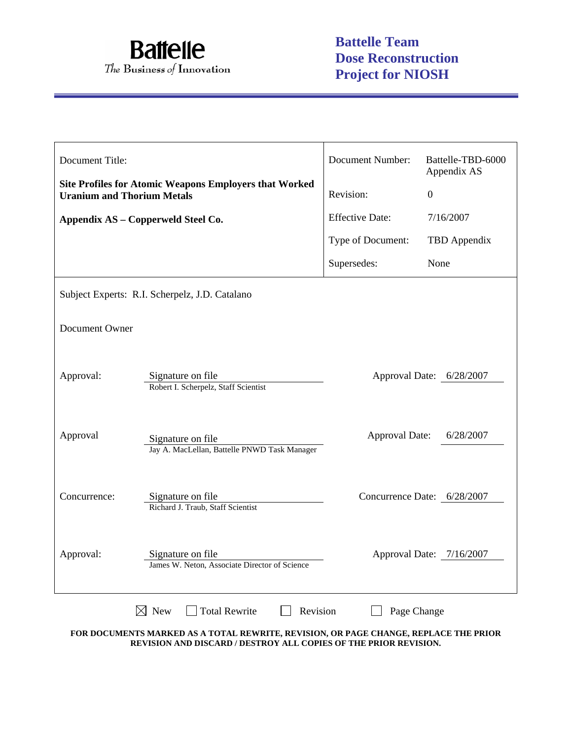

| Document Title:                    |                                                                    | <b>Document Number:</b> | Battelle-TBD-6000<br>Appendix AS |
|------------------------------------|--------------------------------------------------------------------|-------------------------|----------------------------------|
| <b>Uranium and Thorium Metals</b>  | <b>Site Profiles for Atomic Weapons Employers that Worked</b>      | Revision:               | $\overline{0}$                   |
| Appendix AS – Copperweld Steel Co. |                                                                    | <b>Effective Date:</b>  | 7/16/2007                        |
|                                    |                                                                    | Type of Document:       | TBD Appendix                     |
|                                    |                                                                    | Supersedes:             | None                             |
|                                    | Subject Experts: R.I. Scherpelz, J.D. Catalano                     |                         |                                  |
| Document Owner                     |                                                                    |                         |                                  |
| Approval:                          | Signature on file<br>Robert I. Scherpelz, Staff Scientist          |                         | Approval Date: 6/28/2007         |
| Approval                           | Signature on file<br>Jay A. MacLellan, Battelle PNWD Task Manager  | <b>Approval Date:</b>   | 6/28/2007                        |
| Concurrence:                       | Signature on file<br>Richard J. Traub, Staff Scientist             |                         | Concurrence Date: 6/28/2007      |
| Approval:                          | Signature on file<br>James W. Neton, Associate Director of Science |                         | Approval Date: 7/16/2007         |
|                                    | $\boxtimes$ New<br><b>Total Rewrite</b><br>Revision                | Page Change             |                                  |

**FOR DOCUMENTS MARKED AS A TOTAL REWRITE, REVISION, OR PAGE CHANGE, REPLACE THE PRIOR REVISION AND DISCARD / DESTROY ALL COPIES OF THE PRIOR REVISION.**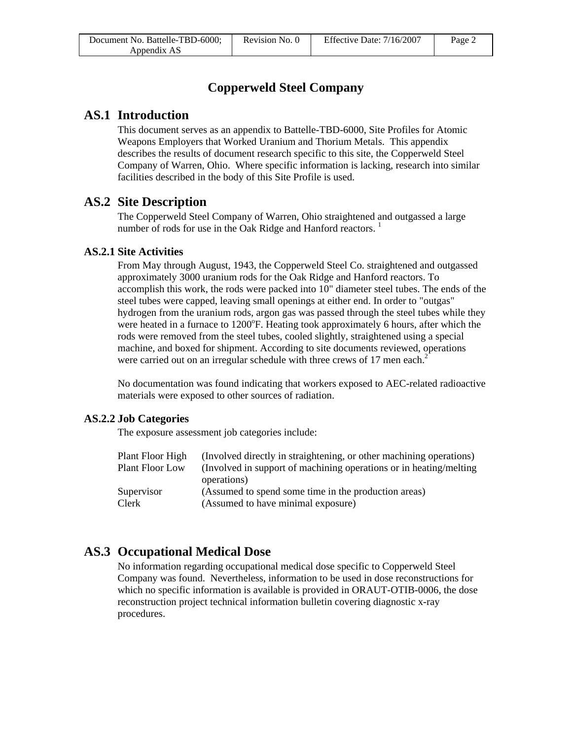# **Copperweld Steel Company**

## **AS.1 Introduction**

This document serves as an appendix to Battelle-TBD-6000, Site Profiles for Atomic Weapons Employers that Worked Uranium and Thorium Metals. This appendix describes the results of document research specific to this site, the Copperweld Steel Company of Warren, Ohio. Where specific information is lacking, research into similar facilities described in the body of this Site Profile is used.

# **AS.2 Site Description**

The Copperweld Steel Company of Warren, Ohio straightened and outgassed a large number of rods for use in the Oak Ridge and Hanford reactors.  $<sup>1</sup>$ </sup>

## **AS.2.1 Site Activities**

From May through August, 1943, the Copperweld Steel Co. straightened and outgassed approximately 3000 uranium rods for the Oak Ridge and Hanford reactors. To accomplish this work, the rods were packed into 10" diameter steel tubes. The ends of the steel tubes were capped, leaving small openings at either end. In order to "outgas" hydrogen from the uranium rods, argon gas was passed through the steel tubes while they were heated in a furnace to 1200°F. Heating took approximately 6 hours, after which the rods were removed from the steel tubes, cooled slightly, straightened using a special machine, and boxed for shipment. According to site documents reviewed, operations were carried out on an irregular schedule with three crews of 17 men each. $2^{\degree}$ 

No documentation was found indicating that workers exposed to AEC-related radioactive materials were exposed to other sources of radiation.

## **AS.2.2 Job Categories**

The exposure assessment job categories include:

| Plant Floor High       | (Involved directly in straightening, or other machining operations) |
|------------------------|---------------------------------------------------------------------|
| <b>Plant Floor Low</b> | (Involved in support of machining operations or in heating/melting) |
|                        | operations)                                                         |
| Supervisor             | (Assumed to spend some time in the production areas)                |
| Clerk                  | (Assumed to have minimal exposure)                                  |
|                        |                                                                     |

# **AS.3 Occupational Medical Dose**

No information regarding occupational medical dose specific to Copperweld Steel Company was found. Nevertheless, information to be used in dose reconstructions for which no specific information is available is provided in ORAUT-OTIB-0006, the dose reconstruction project technical information bulletin covering diagnostic x-ray procedures.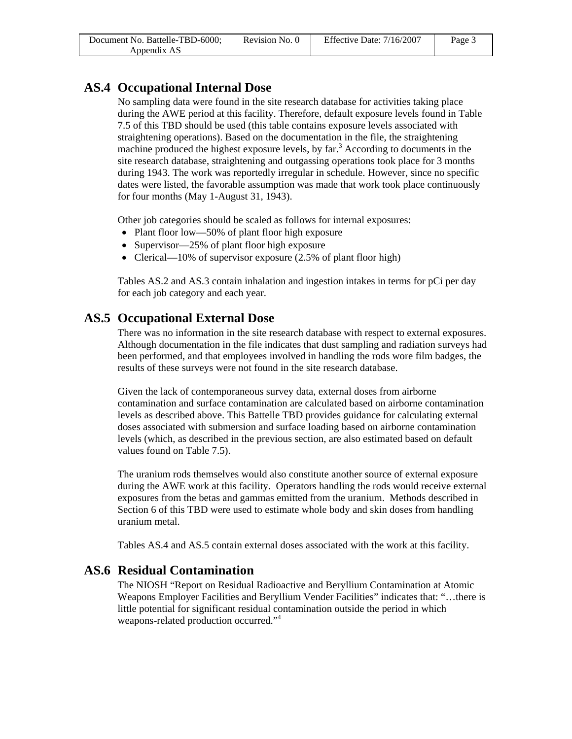| Document No. Battelle-TBD-6000; | Revision No. 0 | Effective Date: 7/16/2007 | Page 3 |
|---------------------------------|----------------|---------------------------|--------|
| Appendix AS                     |                |                           |        |

## **AS.4 Occupational Internal Dose**

No sampling data were found in the site research database for activities taking place during the AWE period at this facility. Therefore, default exposure levels found in Table 7.5 of this TBD should be used (this table contains exposure levels associated with straightening operations). Based on the documentation in the file, the straightening machine produced the highest exposure levels, by far.<sup>3</sup> According to documents in the site research database, straightening and outgassing operations took place for 3 months during 1943. The work was reportedly irregular in schedule. However, since no specific dates were listed, the favorable assumption was made that work took place continuously for four months (May 1-August 31, 1943).

Other job categories should be scaled as follows for internal exposures:

- Plant floor low—50% of plant floor high exposure
- Supervisor—25% of plant floor high exposure
- Clerical—10% of supervisor exposure (2.5% of plant floor high)

Tables AS.2 and AS.3 contain inhalation and ingestion intakes in terms for pCi per day for each job category and each year.

# **AS.5 Occupational External Dose**

There was no information in the site research database with respect to external exposures. Although documentation in the file indicates that dust sampling and radiation surveys had been performed, and that employees involved in handling the rods wore film badges, the results of these surveys were not found in the site research database.

Given the lack of contemporaneous survey data, external doses from airborne contamination and surface contamination are calculated based on airborne contamination levels as described above. This Battelle TBD provides guidance for calculating external doses associated with submersion and surface loading based on airborne contamination levels (which, as described in the previous section, are also estimated based on default values found on Table 7.5).

The uranium rods themselves would also constitute another source of external exposure during the AWE work at this facility. Operators handling the rods would receive external exposures from the betas and gammas emitted from the uranium. Methods described in Section 6 of this TBD were used to estimate whole body and skin doses from handling uranium metal.

Tables AS.4 and AS.5 contain external doses associated with the work at this facility.

## **AS.6 Residual Contamination**

The NIOSH "Report on Residual Radioactive and Beryllium Contamination at Atomic Weapons Employer Facilities and Beryllium Vender Facilities" indicates that: "…there is little potential for significant residual contamination outside the period in which weapons-related production occurred."4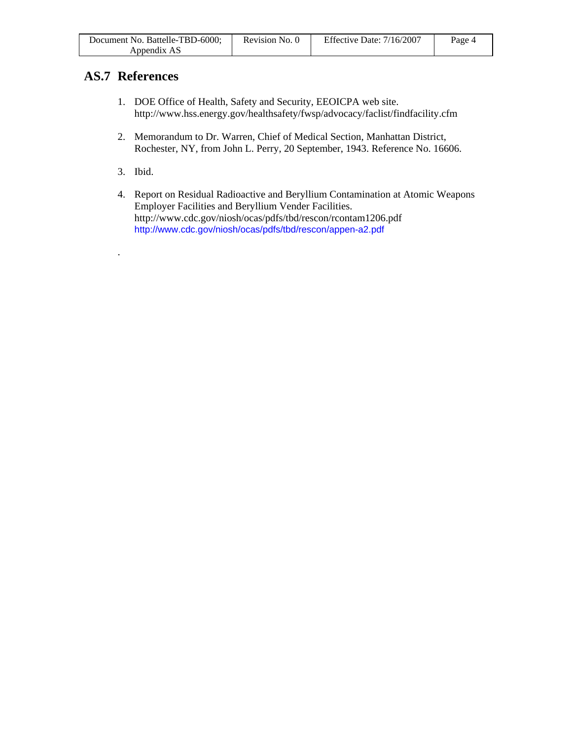| Document No. Battelle-TBD-6000; | Revision No. 0 | Effective Date: 7/16/2007 | Page 4 |
|---------------------------------|----------------|---------------------------|--------|
| Appendix AS                     |                |                           |        |

# **AS.7 References**

- 1. DOE Office of Health, Safety and Security, EEOICPA web site. http://www.hss.energy.gov/healthsafety/fwsp/advocacy/faclist/findfacility.cfm
- 2. Memorandum to Dr. Warren, Chief of Medical Section, Manhattan District, Rochester, NY, from John L. Perry, 20 September, 1943. Reference No. 16606.
- 3. Ibid.

.

4. Report on Residual Radioactive and Beryllium Contamination at Atomic Weapons Employer Facilities and Beryllium Vender Facilities. http://www.cdc.gov/niosh/ocas/pdfs/tbd/rescon/rcontam1206.pdf http://www.cdc.gov/niosh/ocas/pdfs/tbd/rescon/appen-a2.pdf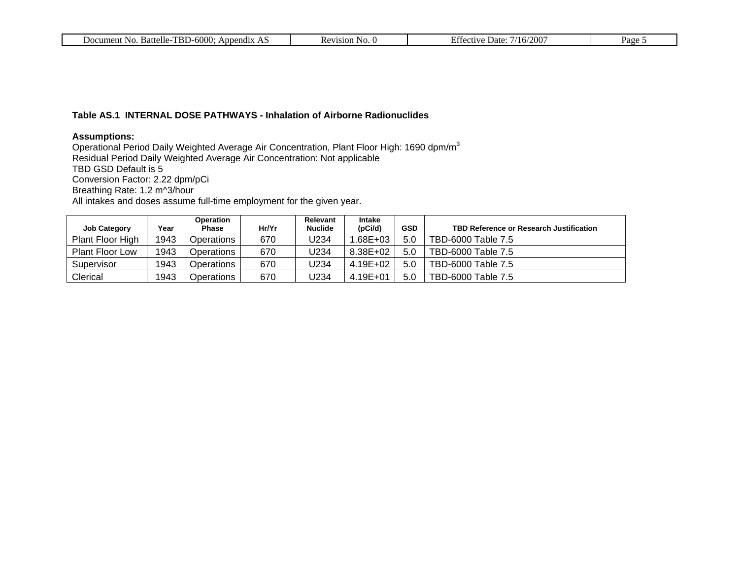|  | . Battelle-TBD-6000:<br>Document No.<br>Appendix<br>ЛŁ. | Kevision<br>No. 6<br>'N L | Effective.<br>/2001<br>/16/<br>Date: | $P_{\text{age}}$ |
|--|---------------------------------------------------------|---------------------------|--------------------------------------|------------------|
|--|---------------------------------------------------------|---------------------------|--------------------------------------|------------------|

### **Table AS.1 INTERNAL DOSE PATHWAYS - Inhalation of Airborne Radionuclides**

### **Assumptions:**

Operational Period Daily Weighted Average Air Concentration, Plant Floor High: 1690 dpm/m $^3$ Residual Period Daily Weighted Average Air Concentration: Not applicable TBD GSD Default is 5 Conversion Factor: 2.22 dpm/pCi Breathing Rate: 1.2 m^3/hour All intakes and doses assume full-time employment for the given year.

|                        |      | Operation         |       | Relevant       | <b>Intake</b> |            |                                         |
|------------------------|------|-------------------|-------|----------------|---------------|------------|-----------------------------------------|
| <b>Job Category</b>    | Year | <b>Phase</b>      | Hr/Yr | <b>Nuclide</b> | (pCi/d)       | <b>GSD</b> | TBD Reference or Research Justification |
| Plant Floor High       | 1943 | Operations        | 670   | U234           | .68E+03       | 5.0        | TBD-6000 Table 7.5                      |
| <b>Plant Floor Low</b> | 1943 | Operations        | 670   | J234           | 8.38E+02      | 5.0        | TBD-6000 Table 7.5                      |
| Supervisor             | 1943 | <b>Dperations</b> | 670   | J234           | 4.19E+02      | 5.0        | TBD-6000 Table 7.5                      |
| Clerical               | 1943 | <b>Dperations</b> | 670   | J234           | 4.19E+01      | 5.0        | TBD-6000 Table 7.5                      |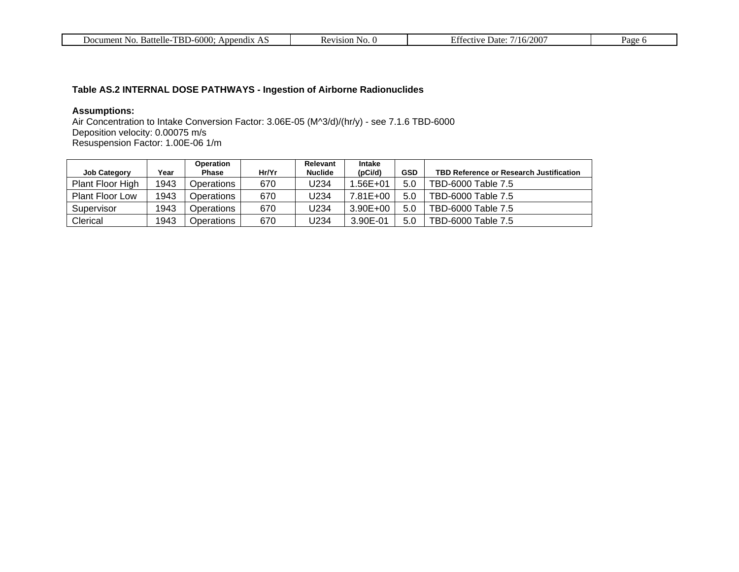| $\sim$<br>bendix<br>um.<br>$A_{\mathbf{n} \mathbf{r}}$<br>JΩ<br>IN G<br>Battelle.<br>ent<br>. .<br>.<br>זווור<br>,,,,,<br>$\mathbf{v}$ | 71C1<br>sion<br>N <sub>c</sub><br>∼<br>n<br>$\mathbf{1}$ . | ൗ∩∩<br>Date.<br>.<br>۱б,<br>- 16<br>- 111 | ۲۹ م<br>$\mathbf{u}$ |
|----------------------------------------------------------------------------------------------------------------------------------------|------------------------------------------------------------|-------------------------------------------|----------------------|
|                                                                                                                                        |                                                            |                                           |                      |

### **Table AS.2 INTERNAL DOSE PATHWAYS - Ingestion of Airborne Radionuclides**

#### **Assumptions:**

Air Concentration to Intake Conversion Factor: 3.06E-05 (M^3/d)/(hr/y) - see 7.1.6 TBD-6000 Deposition velocity: 0.00075 m/s Resuspension Factor: 1.00E-06 1/m

|                        |      | <b>Operation</b> |       | Relevant       | <b>Intake</b> |            |                                                |
|------------------------|------|------------------|-------|----------------|---------------|------------|------------------------------------------------|
| <b>Job Category</b>    | Year | <b>Phase</b>     | Hr/Yr | <b>Nuclide</b> | (pCi/d)       | <b>GSD</b> | <b>TBD Reference or Research Justification</b> |
| Plant Floor High       | 1943 | Operations       | 670   | U234           | $.56E + 01$   | 5.0        | TBD-6000 Table 7.5                             |
| <b>Plant Floor Low</b> | 1943 | Operations       | 670   | U234           | 7.81E+00      | 5.0        | TBD-6000 Table 7.5                             |
| Supervisor             | 1943 | Operations       | 670   | J234           | $3.90E + 00$  | 5.0        | TBD-6000 Table 7.5                             |
| Clerical               | 1943 | Operations       | 670   | J234           | 3.90E-01      | 5.0        | TBD-6000 Table 7.5                             |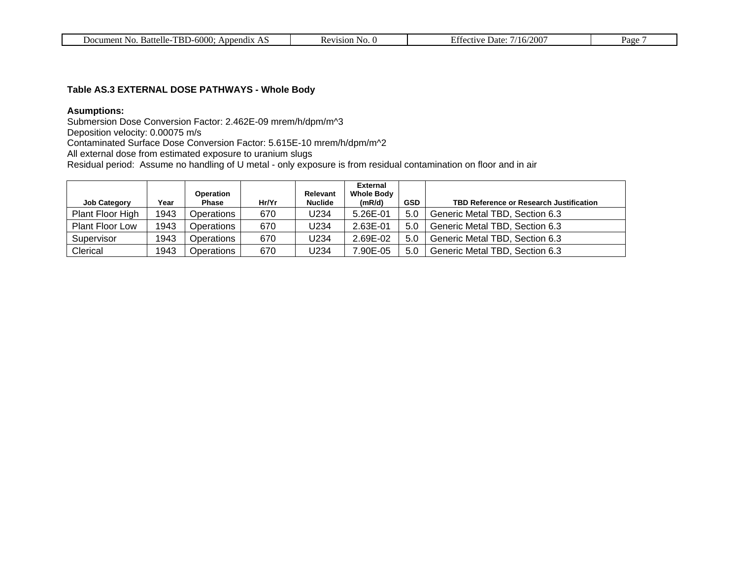| TBD-6000:<br>. Battelle-T<br>Document No.<br>Appendix<br>ЛŁ. | Revision<br>N <sub>O</sub> | //16/200<br>Effective.<br>Date: | Page |
|--------------------------------------------------------------|----------------------------|---------------------------------|------|
|--------------------------------------------------------------|----------------------------|---------------------------------|------|

### **Table AS.3 EXTERNAL DOSE PATHWAYS - Whole Body**

### **Asumptions:**

Submersion Dose Conversion Factor: 2.462E-09 mrem/h/dpm/m^3

Deposition velocity: 0.00075 m/s

Contaminated Surface Dose Conversion Factor: 5.615E-10 mrem/h/dpm/m^2

All external dose from estimated exposure to uranium slugs

Residual period: Assume no handling of U metal - only exposure is from residual contamination on floor and in air

|                        |      | <b>Operation</b> |       | Relevant       | <b>External</b><br><b>Whole Body</b> |            |                                                |
|------------------------|------|------------------|-------|----------------|--------------------------------------|------------|------------------------------------------------|
| <b>Job Category</b>    | Year | Phase            | Hr/Yr | <b>Nuclide</b> | (mR/d)                               | <b>GSD</b> | <b>TBD Reference or Research Justification</b> |
| Plant Floor High       | 1943 | Operations       | 670   | U234           | 5.26E-01                             | 5.0        | Generic Metal TBD, Section 6.3                 |
| <b>Plant Floor Low</b> | 1943 | Operations       | 670   | U234           | 2.63E-01                             | 5.0        | Generic Metal TBD, Section 6.3                 |
| Supervisor             | 1943 | Operations       | 670   | U234           | 2.69E-02                             | 5.0        | Generic Metal TBD, Section 6.3                 |
| Clerical               | 1943 | Operations       | 670   | U234           | 7.90E-05                             | 5.0        | Generic Metal TBD, Section 6.3                 |